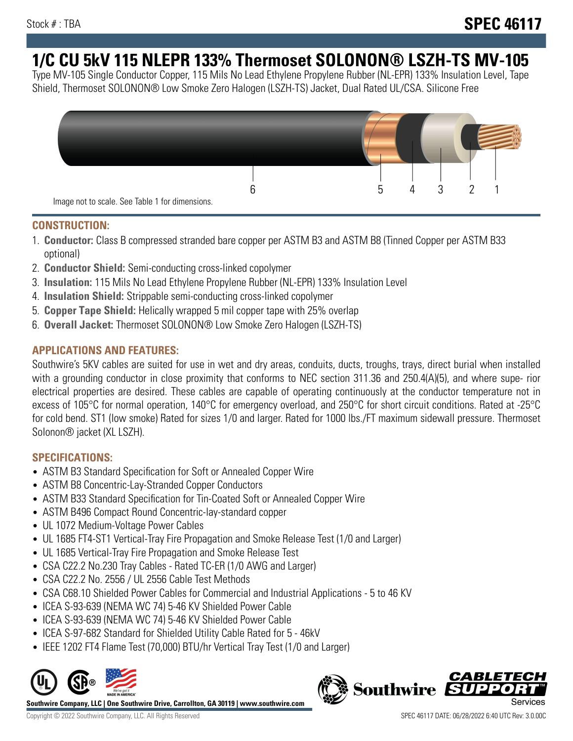# **1/C CU 5kV 115 NLEPR 133% Thermoset SOLONON® LSZH-TS MV-105**

Type MV-105 Single Conductor Copper, 115 Mils No Lead Ethylene Propylene Rubber (NL-EPR) 133% Insulation Level, Tape Shield, Thermoset SOLONON® Low Smoke Zero Halogen (LSZH-TS) Jacket, Dual Rated UL/CSA. Silicone Free



#### **CONSTRUCTION:**

- 1. **Conductor:** Class B compressed stranded bare copper per ASTM B3 and ASTM B8 (Tinned Copper per ASTM B33 optional)
- 2. **Conductor Shield:** Semi-conducting cross-linked copolymer
- 3. **Insulation:** 115 Mils No Lead Ethylene Propylene Rubber (NL-EPR) 133% Insulation Level
- 4. **Insulation Shield:** Strippable semi-conducting cross-linked copolymer
- 5. **Copper Tape Shield:** Helically wrapped 5 mil copper tape with 25% overlap
- 6. **Overall Jacket:** Thermoset SOLONON® Low Smoke Zero Halogen (LSZH-TS)

## **APPLICATIONS AND FEATURES:**

Southwire's 5KV cables are suited for use in wet and dry areas, conduits, ducts, troughs, trays, direct burial when installed with a grounding conductor in close proximity that conforms to NEC section 311.36 and 250.4(A)(5), and where supe- rior electrical properties are desired. These cables are capable of operating continuously at the conductor temperature not in excess of 105°C for normal operation, 140°C for emergency overload, and 250°C for short circuit conditions. Rated at -25°C for cold bend. ST1 (low smoke) Rated for sizes 1/0 and larger. Rated for 1000 lbs./FT maximum sidewall pressure. Thermoset Solonon® jacket (XL LSZH).

## **SPECIFICATIONS:**

- ASTM B3 Standard Specification for Soft or Annealed Copper Wire
- ASTM B8 Concentric-Lay-Stranded Copper Conductors
- ASTM B33 Standard Specification for Tin-Coated Soft or Annealed Copper Wire
- ASTM B496 Compact Round Concentric-lay-standard copper
- UL 1072 Medium-Voltage Power Cables
- UL 1685 FT4-ST1 Vertical-Tray Fire Propagation and Smoke Release Test (1/0 and Larger)
- UL 1685 Vertical-Tray Fire Propagation and Smoke Release Test
- CSA C22.2 No.230 Tray Cables Rated TC-ER (1/0 AWG and Larger)
- CSA C22.2 No. 2556 / UL 2556 Cable Test Methods
- CSA C68.10 Shielded Power Cables for Commercial and Industrial Applications 5 to 46 KV
- ICEA S-93-639 (NEMA WC 74) 5-46 KV Shielded Power Cable
- ICEA S-93-639 (NEMA WC 74) 5-46 KV Shielded Power Cable
- ICEA S-97-682 Standard for Shielded Utility Cable Rated for 5 46kV
- IEEE 1202 FT4 Flame Test (70,000) BTU/hr Vertical Tray Test (1/0 and Larger)



**Southwire Company, LLC | One Southwire Drive, Carrollton, GA 30119 | www.southwire.com**